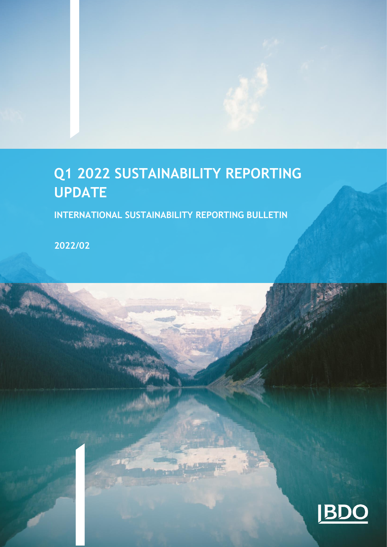# **Q1 2022 SUSTAINABILITY REPORTING UPDATE**

**INTERNATIONAL SUSTAINABILITY REPORTING BULLETIN** 

**2022/02**

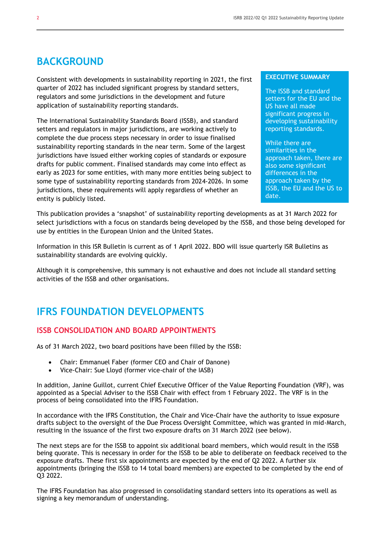## **BACKGROUND**

Consistent with developments in sustainability reporting in 2021, the first quarter of 2022 has included significant progress by standard setters, regulators and some jurisdictions in the development and future application of sustainability reporting standards.

The International Sustainability Standards Board (ISSB), and standard setters and regulators in major jurisdictions, are working actively to complete the due process steps necessary in order to issue finalised sustainability reporting standards in the near term. Some of the largest jurisdictions have issued either working copies of standards or exposure drafts for public comment. Finalised standards may come into effect as early as 2023 for some entities, with many more entities being subject to some type of sustainability reporting standards from 2024-2026. In some jurisdictions, these requirements will apply regardless of whether an entity is publicly listed.

#### **EXECUTIVE SUMMARY**

The ISSB and standard setters for the EU and the US have all made significant progress in developing sustainability reporting standards.

While there are similarities in the approach taken, there are also some significant differences in the approach taken by the ISSB, the EU and the US to date.

This publication provides a 'snapshot' of sustainability reporting developments as at 31 March 2022 for select jurisdictions with a focus on standards being developed by the ISSB, and those being developed for use by entities in the European Union and the United States.

Information in this ISR Bulletin is current as of 1 April 2022. BDO will issue quarterly ISR Bulletins as sustainability standards are evolving quickly.

Although it is comprehensive, this summary is not exhaustive and does not include all standard setting activities of the ISSB and other organisations.

## **IFRS FOUNDATION DEVELOPMENTS**

## **ISSB CONSOLIDATION AND BOARD APPOINTMENTS**

As of 31 March 2022, two board positions have been filled by the ISSB:

- Chair: Emmanuel Faber (former CEO and Chair of Danone)
- Vice-Chair: Sue Lloyd (former vice-chair of the IASB)

In addition, Janine Guillot, current Chief Executive Officer of the Value Reporting Foundation (VRF), was appointed as a Special Adviser to the ISSB Chair with effect from 1 February 2022. The VRF is in the process of being consolidated into the IFRS Foundation.

In accordance with the IFRS Constitution, the Chair and Vice-Chair have the authority to issue exposure drafts subject to the oversight of the Due Process Oversight Committee, which was granted in mid-March, resulting in the issuance of the first two exposure drafts on 31 March 2022 (see below).

The next steps are for the ISSB to appoint six additional board members, which would result in the ISSB being quorate. This is necessary in order for the ISSB to be able to deliberate on feedback received to the exposure drafts. These first six appointments are expected by the end of Q2 2022. A further six appointments (bringing the ISSB to 14 total board members) are expected to be completed by the end of Q3 2022.

The IFRS Foundation has also progressed in consolidating standard setters into its operations as well as signing a key memorandum of understanding.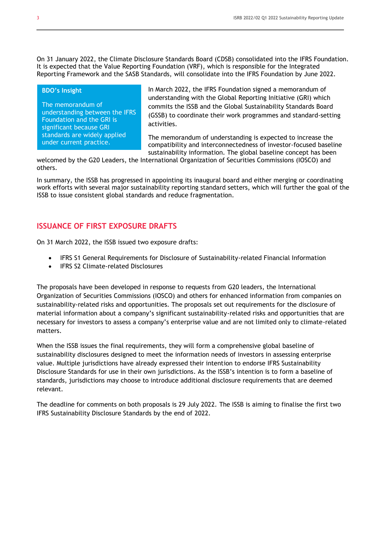On 31 January 2022, the Climate Disclosure Standards Board (CDSB) consolidated into the IFRS Foundation. It is expected that the Value Reporting Foundation (VRF), which is responsible for the Integrated Reporting Framework and the SASB Standards, will consolidate into the IFRS Foundation by June 2022.

#### **BDO's Insight**

The memorandum of understanding between the IFRS Foundation and the GRI is significant because GRI standards are widely applied under current practice.

In March 2022, the IFRS Foundation signed a memorandum of understanding with the Global Reporting Initiative (GRI) which commits the ISSB and the Global Sustainability Standards Board (GSSB) to coordinate their work programmes and standard-setting activities.

The memorandum of understanding is expected to increase the compatibility and interconnectedness of investor-focused baseline sustainability information. The global baseline concept has been

welcomed by the G20 Leaders, the International Organization of Securities Commissions (IOSCO) and others.

In summary, the ISSB has progressed in appointing its inaugural board and either merging or coordinating work efforts with several major sustainability reporting standard setters, which will further the goal of the ISSB to issue consistent global standards and reduce fragmentation.

### **ISSUANCE OF FIRST EXPOSURE DRAFTS**

On 31 March 2022, the ISSB issued two exposure drafts:

- IFRS S1 General Requirements for Disclosure of Sustainability-related Financial Information
- IFRS S2 Climate-related Disclosures

The proposals have been developed in response to requests from G20 leaders, the International Organization of Securities Commissions (IOSCO) and others for enhanced information from companies on sustainability-related risks and opportunities. The proposals set out requirements for the disclosure of material information about a company's significant sustainability-related risks and opportunities that are necessary for investors to assess a company's enterprise value and are not limited only to climate-related matters.

When the ISSB issues the final requirements, they will form a comprehensive global baseline of sustainability disclosures designed to meet the information needs of investors in assessing enterprise value. Multiple jurisdictions have already expressed their intention to endorse IFRS Sustainability Disclosure Standards for use in their own jurisdictions. As the ISSB's intention is to form a baseline of standards, jurisdictions may choose to introduce additional disclosure requirements that are deemed relevant.

The deadline for comments on both proposals is 29 July 2022. The ISSB is aiming to finalise the first two IFRS Sustainability Disclosure Standards by the end of 2022.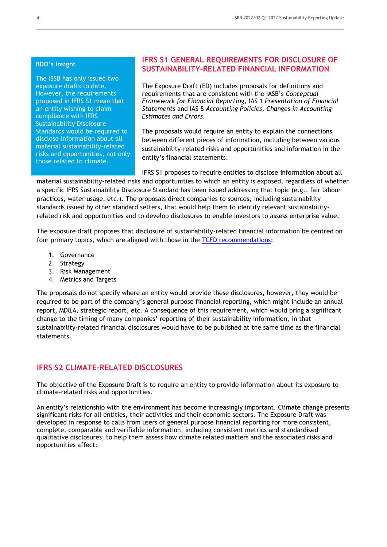#### **BDO's Insight**

The ISSB has only issued two exposure drafts to date. However, the requirements proposed in IFRS S1 mean that an entity wishing to claim compliance with IFRS Sustainability Disclosure Standards would be required to disclose information about all material sustainability-related risks and opportunities, not only those related to climate.

### **IFRS S1 GENERAL REQUIREMENTS FOR DISCLOSURE OF SUSTAINABILITY-RELATED FINANCIAL INFORMATION**

The Exposure Draft (ED) includes proposals for definitions and requirements that are consistent with the IASB's *Conceptual Framework for Financial Reporting*, IAS 1 *Presentation of Financial Statements* and IAS 8 *Accounting Policies, Changes in Accounting Estimates and Errors*.

The proposals would require an entity to explain the connections between different pieces of information, including between various sustainability-related risks and opportunities and information in the entity's financial statements.

IFRS S1 proposes to require entities to disclose information about all material sustainability-related risks and opportunities to which an entity is exposed, regardless of whether a specific IFRS Sustainability Disclosure Standard has been issued addressing that topic (e.g., fair labour practices, water usage, etc.). The proposals direct companies to sources, including sustainability standards issued by other standard setters, that would help them to identify relevant sustainabilityrelated risk and opportunities and to develop disclosures to enable investors to assess enterprise value.

The exposure draft proposes that disclosure of sustainability-related financial information be centred on four primary topics, which are aligned with those in the [TCFD recommendations:](https://www.fsb-tcfd.org/recommendations/)

- 1. Governance
- 2. Strategy
- 3. Risk Management
- 4. Metrics and Targets

The proposals do not specify where an entity would provide these disclosures, however, they would be required to be part of the company's general purpose financial reporting, which might include an annual report, MD&A, strategic report, etc. A consequence of this requirement, which would bring a significant change to the timing of many companies' reporting of their sustainability information, in that sustainability-related financial disclosures would have to be published at the same time as the financial statements.

## **IFRS S2 CLIMATE-RELATED DISCLOSURES**

The objective of the Exposure Draft is to require an entity to provide information about its exposure to climate-related risks and opportunities.

An entity's relationship with the environment has become increasingly important. Climate change presents significant risks for all entities, their activities and their economic sectors. The Exposure Draft was developed in response to calls from users of general purpose financial reporting for more consistent, complete, comparable and verifiable information, including consistent metrics and standardised qualitative disclosures, to help them assess how climate related matters and the associated risks and opportunities affect: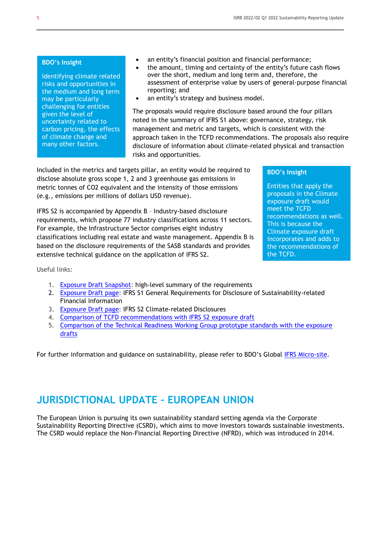#### **BDO's Insight**

Identifying climate related risks and opportunities in the medium and long term may be particularly challenging for entities given the level of uncertainty related to carbon pricing, the effects of climate change and many other factors.

- an entity's financial position and financial performance;
- the amount, timing and certainty of the entity's future cash flows over the short, medium and long term and, therefore, the assessment of enterprise value by users of general-purpose financial reporting; and
- an entity's strategy and business model.

The proposals would require disclosure based around the four pillars noted in the summary of IFRS S1 above: governance, strategy, risk management and metric and targets, which is consistent with the approach taken in the TCFD recommendations. The proposals also require disclosure of information about climate-related physical and transaction risks and opportunities.

Included in the metrics and targets pillar, an entity would be required to disclose absolute gross scope 1, 2 and 3 greenhouse gas emissions in metric tonnes of CO2 equivalent and the intensity of those emissions (e.g., emissions per millions of dollars USD revenue).

IFRS S2 is accompanied by Appendix B – Industry-based disclosure requirements, which propose 77 industry classifications across 11 sectors. For example, the Infrastructure Sector comprises eight industry classifications including real estate and waste management. Appendix B is based on the disclosure requirements of the SASB standards and provides extensive technical guidance on the application of IFRS S2.

Useful links:

- 1. [Exposure Draft Snapshot:](https://www.ifrs.org/content/dam/ifrs/project/general-sustainability-related-disclosures/snapshot-exposure-draft-ifrs-s1-general-requirements-for-disclosure-of-sustainability-related-financial-information-and-exposure-draft-s2-general-sustainability-related-disclosures.pdf) high-level summary of the requirements
- 2. [Exposure Draft page:](https://www.ifrs.org/projects/work-plan/general-sustainability-related-disclosures/exposure-draft-and-comment-letters/) IFRS S1 General Requirements for Disclosure of Sustainability-related Financial Information
- 3. [Exposure Draft page:](https://www.ifrs.org/projects/work-plan/climate-related-disclosures/exposure-draft-and-comment-letters/) IFRS S2 Climate-related Disclosures
- 4. [Comparison of TCFD recommendations with IFRS S2 exposure draft](https://www.ifrs.org/content/dam/ifrs/project/climate-related-disclosures/comparison-draft-ifrs-s2-climate-related-disclosures-with-the-tcfd-recommendations.pdf)
- 5. [Comparison of the Technical Readiness Working Group prototype standards with the exposure](https://www.ifrs.org/content/dam/ifrs/project/general-sustainability-related-disclosures/comparison-draft-ifrs-s1-and-draft-ifrs-s2-with-the-technical-readiness-working-group-prototypes.pdf)  [drafts](https://www.ifrs.org/content/dam/ifrs/project/general-sustainability-related-disclosures/comparison-draft-ifrs-s1-and-draft-ifrs-s2-with-the-technical-readiness-working-group-prototypes.pdf)

For further information and guidance on sustainability, please refer to BDO's Global [IFRS Micro-site.](https://www.bdo.global/en-gb/microsites/ifrs/resource-library?tag=sustainabilityreporting)

## **JURISDICTIONAL UPDATE – EUROPEAN UNION**

The European Union is pursuing its own sustainability standard setting agenda via the Corporate Sustainability Reporting Directive (CSRD), which aims to move investors towards sustainable investments. The CSRD would replace the Non-Financial Reporting Directive (NFRD), which was introduced in 2014.

#### **BDO's Insight**

Entities that apply the proposals in the Climate exposure draft would meet the TCFD recommendations as well. This is because the Climate exposure draft incorporates and adds to the recommendations of the TCFD.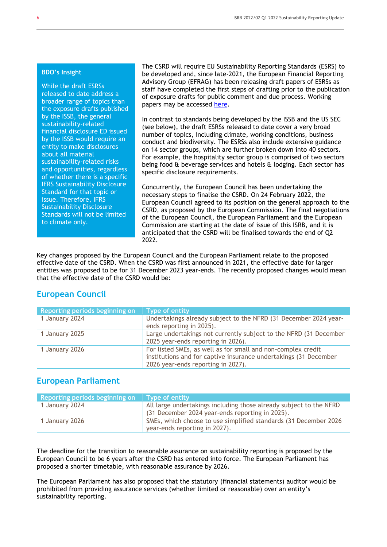#### **BDO's Insight**

While the draft ESRSs released to date address a broader range of topics than the exposure drafts published by the ISSB, the general sustainability-related financial disclosure ED issued by the ISSB would require an entity to make disclosures about all material sustainability-related risks and opportunities, regardless of whether there is a specific IFRS Sustainability Disclosure Standard for that topic or issue. Therefore, IFRS Sustainability Disclosure Standards will not be limited to climate only.

The CSRD will require EU Sustainability Reporting Standards (ESRS) to be developed and, since late-2021, the European Financial Reporting Advisory Group (EFRAG) has been releasing draft papers of ESRSs as staff have completed the first steps of drafting prior to the publication of exposure drafts for public comment and due process. Working papers may be accessed [here.](https://www.efrag.org/Activities/2105191406363055/Sustainability-reporting-standards-interim-draft)

In contrast to standards being developed by the ISSB and the US SEC (see below), the draft ESRSs released to date cover a very broad number of topics, including climate, working conditions, business conduct and biodiversity. The ESRSs also include extensive guidance on 14 sector groups, which are further broken down into 40 sectors. For example, the hospitality sector group is comprised of two sectors being food & beverage services and hotels & lodging. Each sector has specific disclosure requirements.

Concurrently, the European Council has been undertaking the necessary steps to finalise the CSRD. On 24 February 2022, the European Council agreed to its position on the general approach to the CSRD, as proposed by the European Commission. The final negotiations of the European Council, the European Parliament and the European Commission are starting at the date of issue of this ISRB, and it is anticipated that the CSRD will be finalised towards the end of Q2 2022.

Key changes proposed by the European Council and the European Parliament relate to the proposed effective date of the CSRD. When the CSRD was first announced in 2021, the effective date for larger entities was proposed to be for 31 December 2023 year-ends. The recently proposed changes would mean that the effective date of the CSRD would be:

## **European Council**

| Reporting periods beginning on | Type of entity                                                                                                                                                         |
|--------------------------------|------------------------------------------------------------------------------------------------------------------------------------------------------------------------|
| 1 January 2024                 | Undertakings already subject to the NFRD (31 December 2024 year-<br>ends reporting in 2025).                                                                           |
| 1 January 2025                 | Large undertakings not currently subject to the NFRD (31 December<br>2025 year-ends reporting in 2026).                                                                |
| 1 January 2026                 | For listed SMEs, as well as for small and non-complex credit<br>institutions and for captive insurance undertakings (31 December<br>2026 year-ends reporting in 2027). |

## **European Parliament**

| Reporting periods beginning on | l Type of entity                                                                                                      |
|--------------------------------|-----------------------------------------------------------------------------------------------------------------------|
| 1 January 2024                 | All large undertakings including those already subject to the NFRD<br>(31 December 2024 year-ends reporting in 2025). |
| 1 January 2026                 | SMEs, which choose to use simplified standards (31 December 2026)<br>year-ends reporting in 2027).                    |

The deadline for the transition to reasonable assurance on sustainability reporting is proposed by the European Council to be 6 years after the CSRD has entered into force. The European Parliament has proposed a shorter timetable, with reasonable assurance by 2026.

The European Parliament has also proposed that the statutory (financial statements) auditor would be prohibited from providing assurance services (whether limited or reasonable) over an entity's sustainability reporting.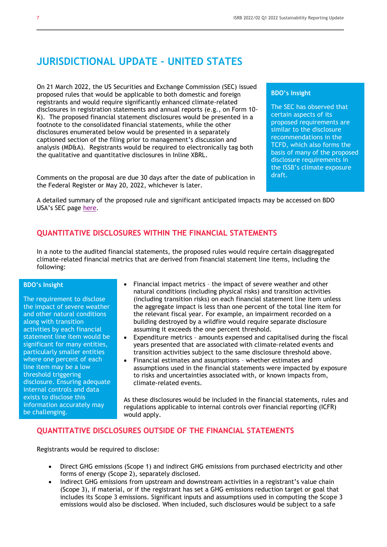## **JURISDICTIONAL UPDATE – UNITED STATES**

On 21 March 2022, the US Securities and Exchange Commission (SEC) issued proposed rules that would be applicable to both domestic and foreign registrants and would require significantly enhanced climate-related disclosures in registration statements and annual reports (e.g., on Form 10- K). The proposed financial statement disclosures would be presented in a footnote to the consolidated financial statements, while the other disclosures enumerated below would be presented in a separately captioned section of the filing prior to management's discussion and analysis (MD&A). Registrants would be required to electronically tag both the qualitative and quantitative disclosures in Inline XBRL.

Comments on the proposal are due 30 days after the date of publication in the Federal Register or May 20, 2022, whichever is later.

#### **BDO's Insight**

The SEC has observed that certain aspects of its proposed requirements are similar to the disclosure recommendations in the TCFD, which also forms the basis of many of the proposed disclosure requirements in the ISSB's climate exposure draft.

A detailed summary of the proposed rule and significant anticipated impacts may be accessed on BDO USA's SEC page [here.](https://www.bdo.com/insights/assurance/sec/sec-proposes-rules-to-enhance-and-standardize-clim)

## **QUANTITATIVE DISCLOSURES WITHIN THE FINANCIAL STATEMENTS**

In a note to the audited financial statements, the proposed rules would require certain disaggregated climate-related financial metrics that are derived from financial statement line items, including the following:

#### **BDO's Insight**

The requirement to disclose the impact of severe weather and other natural conditions along with transition activities by each financial statement line item would be significant for many entities, particularly smaller entities where one percent of each line item may be a low threshold triggering disclosure. Ensuring adequate internal controls and data exists to disclose this information accurately may be challenging.

- Financial impact metrics the impact of severe weather and other natural conditions (including physical risks) and transition activities (including transition risks) on each financial statement line item unless the aggregate impact is less than one percent of the total line item for the relevant fiscal year. For example, an impairment recorded on a building destroyed by a wildfire would require separate disclosure assuming it exceeds the one percent threshold.
- Expenditure metrics amounts expensed and capitalised during the fiscal years presented that are associated with climate-related events and transition activities subject to the same disclosure threshold above.
- Financial estimates and assumptions whether estimates and assumptions used in the financial statements were impacted by exposure to risks and uncertainties associated with, or known impacts from, climate-related events.

As these disclosures would be included in the financial statements, rules and regulations applicable to internal controls over financial reporting (ICFR) would apply.

## **QUANTITATIVE DISCLOSURES OUTSIDE OF THE FINANCIAL STATEMENTS**

Registrants would be required to disclose:

- Direct GHG emissions (Scope 1) and indirect GHG emissions from purchased electricity and other forms of energy (Scope 2), separately disclosed.
- Indirect GHG emissions from upstream and downstream activities in a registrant's value chain (Scope 3), if material, or if the registrant has set a GHG emissions reduction target or goal that includes its Scope 3 emissions. Significant inputs and assumptions used in computing the Scope 3 emissions would also be disclosed. When included, such disclosures would be subject to a safe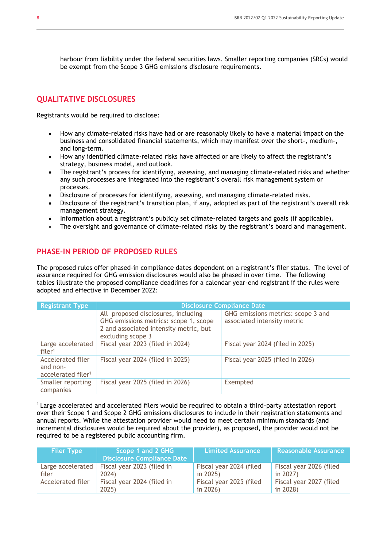harbour from liability under the federal securities laws. Smaller reporting companies (SRCs) would be exempt from the Scope 3 GHG emissions disclosure requirements.

### **QUALITATIVE DISCLOSURES**

Registrants would be required to disclose:

- How any climate-related risks have had or are reasonably likely to have a material impact on the business and consolidated financial statements, which may manifest over the short-, medium-, and long-term.
- How any identified climate-related risks have affected or are likely to affect the registrant's strategy, business model, and outlook.
- The registrant's process for identifying, assessing, and managing climate-related risks and whether any such processes are integrated into the registrant's overall risk management system or processes.
- Disclosure of processes for identifying, assessing, and managing climate-related risks.
- Disclosure of the registrant's transition plan, if any, adopted as part of the registrant's overall risk management strategy.
- Information about a registrant's publicly set climate-related targets and goals (if applicable).
- The oversight and governance of climate-related risks by the registrant's board and management.

## **PHASE-IN PERIOD OF PROPOSED RULES**

The proposed rules offer phased-in compliance dates dependent on a registrant's filer status. The level of assurance required for GHG emission disclosures would also be phased in over time. The following tables illustrate the proposed compliance deadlines for a calendar year-end registrant if the rules were adopted and effective in December 2022:

| <b>Registrant Type</b>                                          | <b>Disclosure Compliance Date</b>                                                                                                           |                                                                   |  |  |  |
|-----------------------------------------------------------------|---------------------------------------------------------------------------------------------------------------------------------------------|-------------------------------------------------------------------|--|--|--|
|                                                                 | All proposed disclosures, including<br>GHG emissions metrics: scope 1, scope<br>2 and associated intensity metric, but<br>excluding scope 3 | GHG emissions metrics: scope 3 and<br>associated intensity metric |  |  |  |
| Large accelerated<br>filer <sup>1</sup>                         | Fiscal year 2023 (filed in 2024)                                                                                                            | Fiscal year 2024 (filed in 2025)                                  |  |  |  |
| Accelerated filer<br>and non-<br>accelerated filer <sup>1</sup> | Fiscal year 2024 (filed in 2025)                                                                                                            | Fiscal year 2025 (filed in 2026)                                  |  |  |  |
| Smaller reporting<br>companies                                  | Fiscal year 2025 (filed in 2026)                                                                                                            | Exempted                                                          |  |  |  |

<sup>1</sup> Large accelerated and accelerated filers would be required to obtain a third-party attestation report over their Scope 1 and Scope 2 GHG emissions disclosures to include in their registration statements and annual reports. While the attestation provider would need to meet certain minimum standards (and incremental disclosures would be required about the provider), as proposed, the provider would not be required to be a registered public accounting firm.

| <b>Filer Type</b>        | Scope 1 and 2 GHG<br><b>Disclosure Compliance Date</b> | <b>Limited Assurance</b> | Reasonable Assurance    |
|--------------------------|--------------------------------------------------------|--------------------------|-------------------------|
| filer                    | Large accelerated   Fiscal year 2023 (filed in         | Fiscal year 2024 (filed  | Fiscal year 2026 (filed |
|                          | 2024)                                                  | in $2025$ )              | in $2027$ )             |
| <b>Accelerated filer</b> | Fiscal year 2024 (filed in                             | Fiscal year 2025 (filed  | Fiscal year 2027 (filed |
|                          | 2025)                                                  | in $2026$ )              | in 2028)                |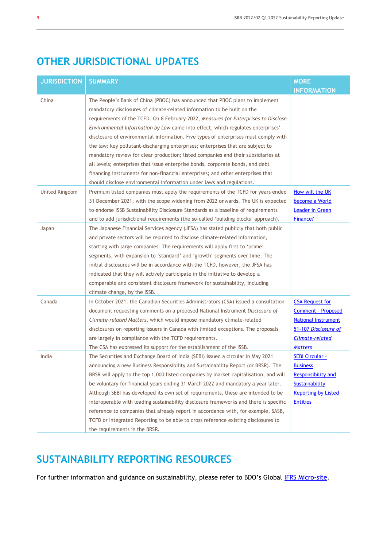## **OTHER JURISDICTIONAL UPDATES**

| <b>JURISDICTION</b> | <b>SUMMARY</b>                                                                        | <b>MORE</b>                |
|---------------------|---------------------------------------------------------------------------------------|----------------------------|
|                     |                                                                                       | <b>INFORMATION</b>         |
| China               | The People's Bank of China (PBOC) has announced that PBOC plans to implement          |                            |
|                     | mandatory disclosures of climate-related information to be built on the               |                            |
|                     | requirements of the TCFD. On 8 February 2022, Measures for Enterprises to Disclose    |                            |
|                     | Environmental Information by Law came into effect, which regulates enterprises'       |                            |
|                     | disclosure of environmental information. Five types of enterprises must comply with   |                            |
|                     | the law: key pollutant-discharging enterprises; enterprises that are subject to       |                            |
|                     | mandatory review for clear production; listed companies and their subsidiaries at     |                            |
|                     | all levels; enterprises that issue enterprise bonds, corporate bonds, and debt        |                            |
|                     | financing instruments for non-financial enterprises; and other enterprises that       |                            |
|                     | should disclose environmental information under laws and regulations.                 |                            |
| United Kingdom      | Premium listed companies must apply the requirements of the TCFD for years ended      | How will the UK            |
|                     | 31 December 2021, with the scope widening from 2022 onwards. The UK is expected       | become a World             |
|                     | to endorse ISSB Sustainability Disclosure Standards as a baseline of requirements     | Leader in Green            |
|                     | and to add jurisdictional requirements (the so-called 'building blocks' approach).    | Finance?                   |
| Japan               | The Japanese Financial Services Agency (JFSA) has stated publicly that both public    |                            |
|                     | and private sectors will be required to disclose climate-related information,         |                            |
|                     | starting with large companies. The requirements will apply first to 'prime'           |                            |
|                     | segments, with expansion to 'standard' and 'growth' segments over time. The           |                            |
|                     | initial disclosures will be in accordance with the TCFD, however, the JFSA has        |                            |
|                     | indicated that they will actively participate in the initiative to develop a          |                            |
|                     | comparable and consistent disclosure framework for sustainability, including          |                            |
|                     | climate change, by the ISSB.                                                          |                            |
| Canada              | In October 2021, the Canadian Securities Administrators (CSA) issued a consultation   | <b>CSA Request for</b>     |
|                     | document requesting comments on a proposed National Instrument Disclosure of          | <b>Comment - Proposed</b>  |
|                     | Climate-related Matters, which would impose mandatory climate-related                 | <b>National Instrument</b> |
|                     | disclosures on reporting issuers in Canada with limited exceptions. The proposals     | 51-107 Disclosure of       |
|                     | are largely in compliance with the TCFD requirements.                                 | <b>Climate-related</b>     |
|                     | The CSA has expressed its support for the establishment of the ISSB.                  | <b>Matters</b>             |
| India               | The Securities and Exchange Board of India (SEBI) issued a circular in May 2021       | <b>SEBI Circular -</b>     |
|                     | announcing a new Business Responsibility and Sustainability Report (or BRSR). The     | <b>Business</b>            |
|                     | BRSR will apply to the top 1,000 listed companies by market capitalisation, and will  | Responsibility and         |
|                     | be voluntary for financial years ending 31 March 2022 and mandatory a year later.     | <b>Sustainability</b>      |
|                     | Although SEBI has developed its own set of requirements, these are intended to be     | <b>Reporting by Listed</b> |
|                     | interoperable with leading sustainability disclosure frameworks and there is specific | <b>Entities</b>            |
|                     | reference to companies that already report in accordance with, for example, SASB,     |                            |
|                     | TCFD or Integrated Reporting to be able to cross reference existing disclosures to    |                            |
|                     | the requirements in the BRSR.                                                         |                            |

## **SUSTAINABILITY REPORTING RESOURCES**

For further information and guidance on sustainability, please refer to BDO's Global [IFRS Micro-site.](https://www.bdo.global/en-gb/microsites/ifrs/resource-library?tag=sustainabilityreporting)